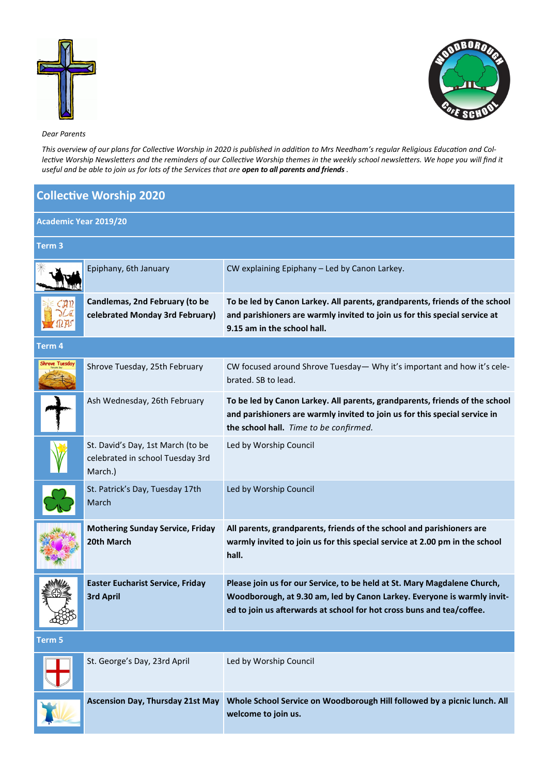



## *Dear Parents*

*This overview of our plans for Collective Worship in 2020 is published in addition to Mrs Needham's regular Religious Education and Collective Worship Newsletters and the reminders of our Collective Worship themes in the weekly school newsletters. We hope you will find it useful and be able to join us for lots of the Services that are open to all parents and friends .*

## **Collective Worship 2020**

| <b>Academic Year 2019/20</b> |                                                                                  |                                                                                                                                                                                                                              |  |  |
|------------------------------|----------------------------------------------------------------------------------|------------------------------------------------------------------------------------------------------------------------------------------------------------------------------------------------------------------------------|--|--|
| Term 3                       |                                                                                  |                                                                                                                                                                                                                              |  |  |
|                              | Epiphany, 6th January                                                            | CW explaining Epiphany - Led by Canon Larkey.                                                                                                                                                                                |  |  |
|                              | Candlemas, 2nd February (to be<br>celebrated Monday 3rd February)                | To be led by Canon Larkey. All parents, grandparents, friends of the school<br>and parishioners are warmly invited to join us for this special service at<br>9.15 am in the school hall.                                     |  |  |
| Term 4                       |                                                                                  |                                                                                                                                                                                                                              |  |  |
| ihrove Tuesday               | Shrove Tuesday, 25th February                                                    | CW focused around Shrove Tuesday - Why it's important and how it's cele-<br>brated. SB to lead.                                                                                                                              |  |  |
|                              | Ash Wednesday, 26th February                                                     | To be led by Canon Larkey. All parents, grandparents, friends of the school<br>and parishioners are warmly invited to join us for this special service in<br>the school hall. Time to be confirmed.                          |  |  |
|                              | St. David's Day, 1st March (to be<br>celebrated in school Tuesday 3rd<br>March.) | Led by Worship Council                                                                                                                                                                                                       |  |  |
|                              | St. Patrick's Day, Tuesday 17th<br>March                                         | Led by Worship Council                                                                                                                                                                                                       |  |  |
|                              | <b>Mothering Sunday Service, Friday</b><br>20th March                            | All parents, grandparents, friends of the school and parishioners are<br>warmly invited to join us for this special service at 2.00 pm in the school<br>hall.                                                                |  |  |
|                              | <b>Easter Eucharist Service, Friday</b><br><b>3rd April</b>                      | Please join us for our Service, to be held at St. Mary Magdalene Church,<br>Woodborough, at 9.30 am, led by Canon Larkey. Everyone is warmly invit-<br>ed to join us afterwards at school for hot cross buns and tea/coffee. |  |  |
| Term 5                       |                                                                                  |                                                                                                                                                                                                                              |  |  |
|                              | St. George's Day, 23rd April                                                     | Led by Worship Council                                                                                                                                                                                                       |  |  |